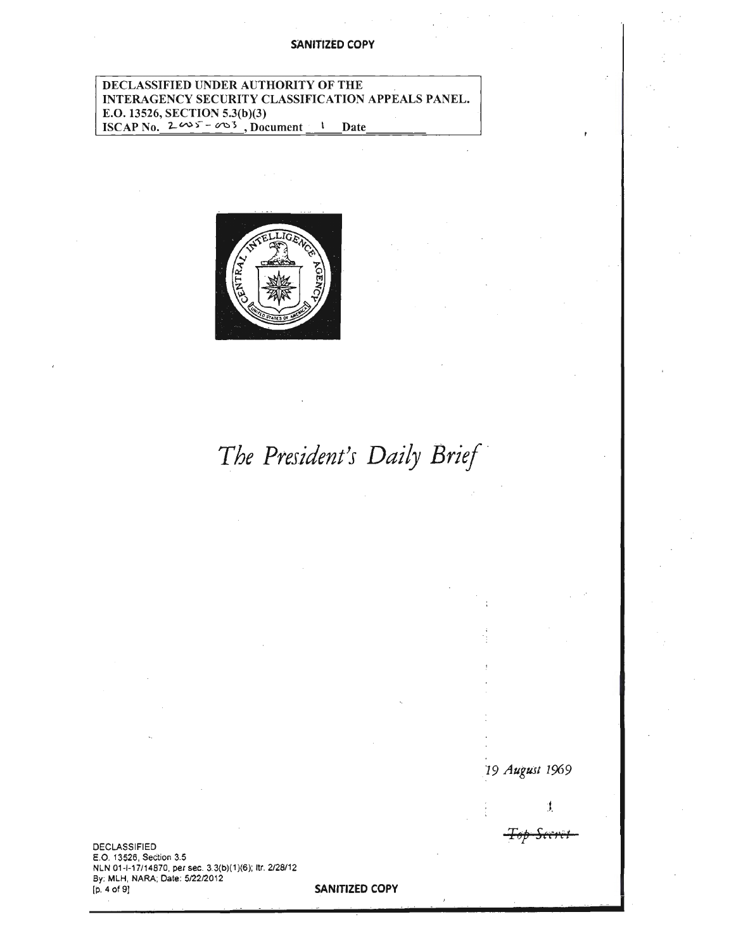## **SANITIZED COPY**

## DECLASSIFIED UNDER AUTHORITY OF THE INTERAGENCY SECURITY CLASSIFICATION APPEALS PANEL. E.O. 13526, SECTION 5.3(b)(3) ISCAP No.  $2\omega s - \omega 3$ , Document <sup>1</sup> Date



*The President's Daily Brief ·* 

**DECLASSIFIED** E.O. 13526, Section 3.5 NLN 01-1-17/14870, per sec. 3 3(b)(1 )(6); ltr. 2/28/12 By: MLH, NARA; Date: 5/22/2012<br>[p. 4 of 9]

SANITIZED COPY

19 August 1969

J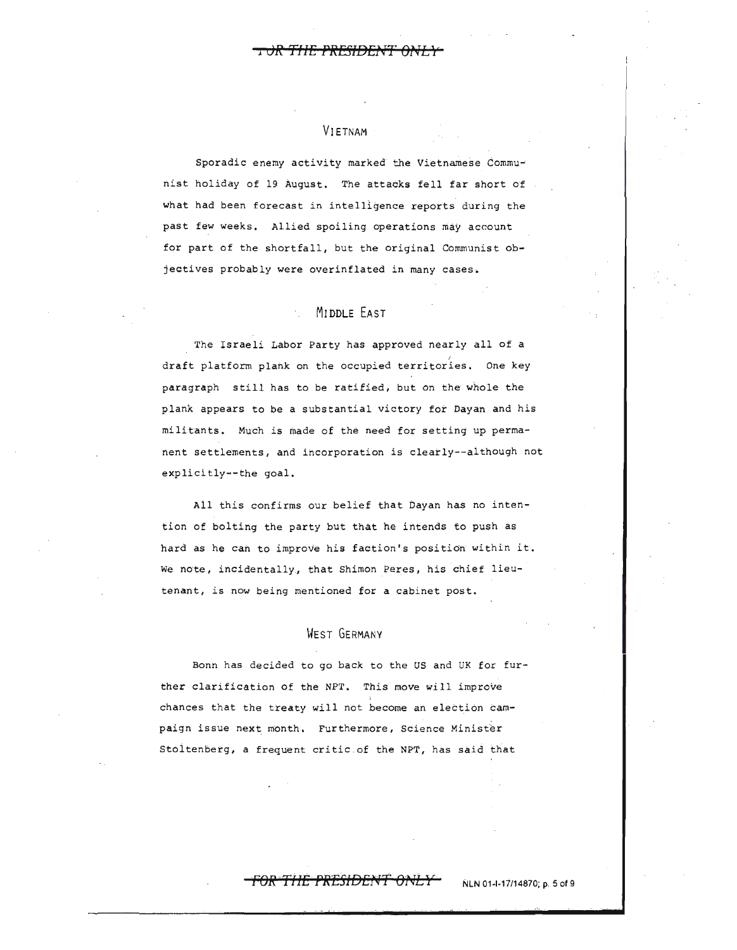## VIETNAM

Sporadic enemy activity marked the Vietnamese Communist holiday of 19 August. The attacks fell far short of what had been forecast in intelligence reports during the past few weeks. Allied spoiling operations may account for part of the shortfall, but the original Communist objectives probably were overinflated in many cases.

## MIDDLE EAST

The Israeli Labor Party has approved nearly all of a draft platform plank on the occupied territories. One key paragraph still has to be ratified, but on the whole the plank appears to be a substantial victory for Dayan and his militants. Much is made of the need for setting up permanent settlements, and incorporation is clearly--although not explicitly--the goal,

All this confirms our belief that Dayan has no intention of bolting the party but that he intends to push as hard as he can to improve his faction's position within it. we note, incidentally, that Shimon Peres, his chief lieutenant, is now being mentioned for a cabinet post.

## WEST GERMANY

Bonn has decided to go back to the US and UK for further clarification of the NPT, This move *will* improve chances that the treaty will not become an election campaign issue next month. Furthermore, Science Minister Stoltenberg, a frequent critic of the NPT, has said that

#### **FOR THE PRESIDENT ONLY** NLN 01-1-17/14870; p. 5 of 9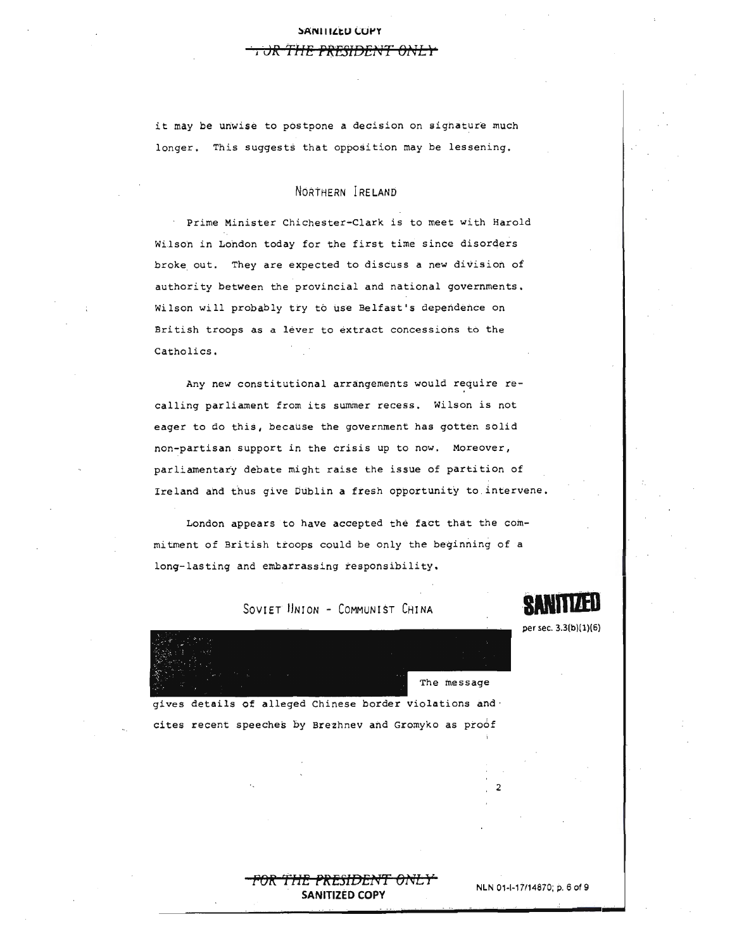#### **:,ANIIILtU (;Ut'Y**

#### <del>. )R THE PRESIDENT ONL</del>

it may be unwise to postpone a decision on signature much longer. This suggests that opposition may be lessening.

## NORTHERN IRELAND

Prime Minister Chichester-Clark is to meet with Harold Wilson in London today for the first time since disorders broke out. They are expected to discuss a new division of authority between the provincial and national governments, Wilson will probably try to use Belfast's dependence on British troops as a lever to extract concessions to the Catholics.

Any new constitutional arrangements would require recalling parliament from its summer recess. Wilson is not eager to do this, because the government has gotten solid non-partisan support in the crisis up to now. Moreover, parliamentary debate might raise the issue of partition of Ireland and thus give Dublin a fresh opportunity to intervene.

London appears to have accepted the fact that the commitment of British troops could be only the beginning of a long-lasting and embarrassing responsibility.



per sec. 3.3(b)(1)(6)

SOVIET UNION - COMMUNIST CHINA

gives details of alleged Chinese border violations and· cites recent speeches by Brezhnev and Gromyko as proof

> **FOR THE PRESIDENT ONLY PROPERTY AND NLN 01-1-17/14870; p. 6 of 9 SANITIZED COPY**

2

The message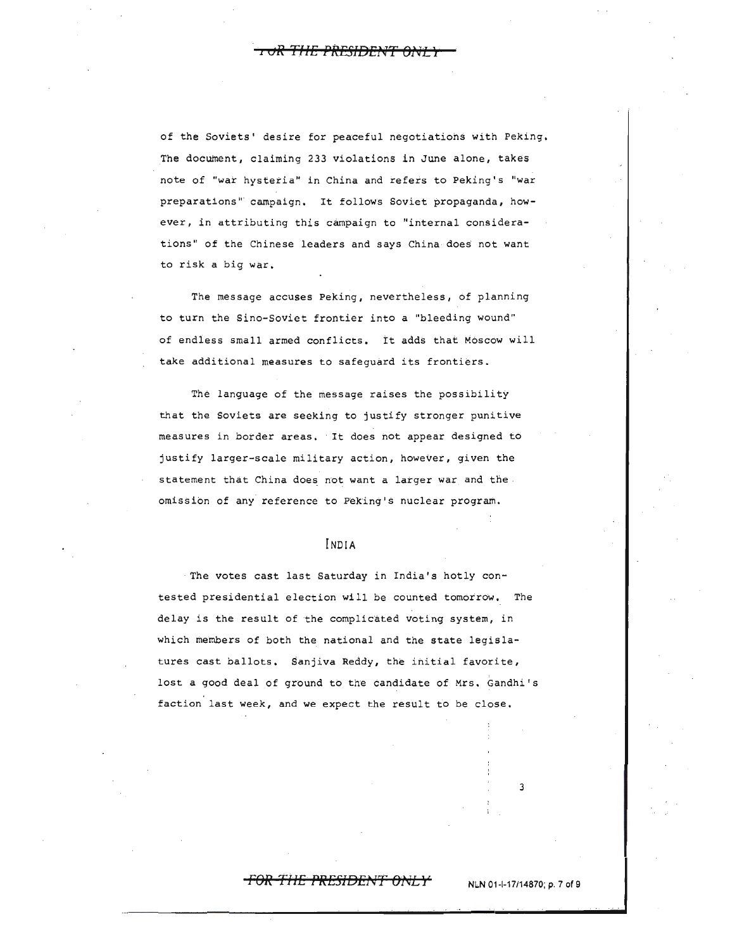**·1 oR TI1E** fflBliJEl~TT *Bl<lL")* 

of the Soviets' desire for peaceful negotiations with Peking. The document, claiming 233 violations in June alone, takes note of "war hysteria" in China and refers to Peking's "war preparations" campaign. It follows Soviet propaganda, however, in attributing this campaign to "internal considerations" of the Chinese leaders and says China does not want to risk a big war.

The message accuses Peking, nevertheless, of planning to turn the Sino-Soviet frontier into a "bleeding wound" of endiess small armed conflicts. tt adds that Moscow will take additional measures to safeguard its frontiers.

The language of the message raises the possibility that the Soviets are seeking to justify stronger punitive measures in border areas. It does not appear designed to justify larger-scale military action, however, given the statement that China does not want a larger war and the omission of any reference to Peking's nuclear program.

## INDIA

The votes cast last Saturday in India's hotly contested presidential election wi 11 be counted tomotrow. The delay is the result of the complicated voting system, in which members of both the national and the state legislatures cast ballots, Sanjiva Reddy, the initial favorite, lost a good deal of ground to the candidate of Mrs. Gandhi's faction last week, and we expect the result to be close.

## <del>FOR THE PRESIDENT ONLY</del>

**NLN** 01-1-17/14870; p. 7 of 9

3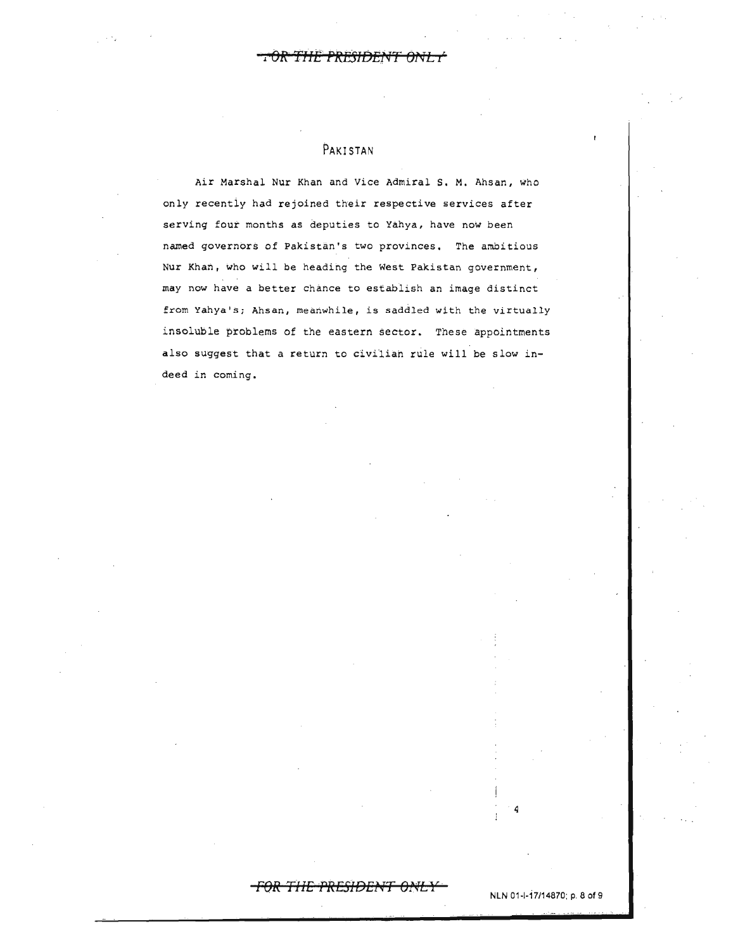R<del>esident ani -</del>

## **PAKISTAN**

Air Marshal Nur Khan and Vice Admiral s. M. Ahsan, who only recentiy had rejoined their respective services after serving four months as deputies to Yahya, have now been named governors of Pakistan's two provinces, The ambitious Nur Khan, who will be heading the West Pakistan government, may now have a better chance to establish an image distinct from Yahya's; Ahsan, meanwhile, is saddled with the virtually insoluble problems of the eastern sector. These appointments also suggest that a return to civilian rule will be slow indeed in coming.

# **FOR THE PRESIDENT ONLY .**<br>NLN 01-1-17/14870; p. 8 of 9

4